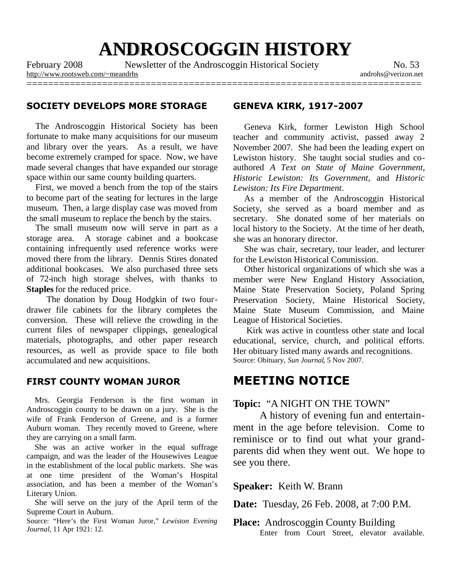# **ANDROSCOGGIN HISTORY**

February 2008 Newsletter of the Androscoggin Historical Society No. 53

<http://www.rootsweb.com/~meandrhs> androhs@verizon.net =========================================================================

### **SOCIETY DEVELOPS MORE STORAGE**

The Androscoggin Historical Society has been fortunate to make many acquisitions for our museum and library over the years. As a result, we have become extremely cramped for space. Now, we have made several changes that have expanded our storage space within our same county building quarters.

First, we moved a bench from the top of the stairs to become part of the seating for lectures in the large museum. Then, a large display case was moved from the small museum to replace the bench by the stairs.

The small museum now will serve in part as a storage area. A storage cabinet and a bookcase containing infrequently used reference works were moved there from the library. Dennis Stires donated additional bookcases. We also purchased three sets of 72-inch high storage shelves, with thanks to **Staples** for the reduced price.

The donation by Doug Hodgkin of two fourdrawer file cabinets for the library completes the conversion. These will relieve the crowding in the current files of newspaper clippings, genealogical materials, photographs, and other paper research resources, as well as provide space to file both accumulated and new acquisitions.

#### **FIRST COUNTY WOMAN JUROR**

Mrs. Georgia Fenderson is the first woman in Androscoggin county to be drawn on a jury. She is the wife of Frank Fenderson of Greene, and is a former Auburn woman. They recently moved to Greene, where they are carrying on a small farm.

She was an active worker in the equal suffrage campaign, and was the leader of the Housewives League in the establishment of the local public markets. She was at one time president of the Woman's Hospital association, and has been a member of the Woman's Literary Union.

She will serve on the jury of the April term of the Supreme Court in Auburn.

Source: "Here's the First Woman Juror," *Lewiston Evening Journal*, 11 Apr 1921: 12.

#### **GENEVA KIRK, 1917-2007**

Geneva Kirk, former Lewiston High School teacher and community activist, passed away 2 November 2007. She had been the leading expert on Lewiston history. She taught social studies and coauthored *A Text on State of Maine Government*, *Historic Lewiston: Its Government*, and *Historic Lewiston: Its Fire Department*.

As a member of the Androscoggin Historical Society, she served as a board member and as secretary. She donated some of her materials on local history to the Society. At the time of her death, she was an honorary director.

She was chair, secretary, tour leader, and lecturer for the Lewiston Historical Commission.

Other historical organizations of which she was a member were New England History Association, Maine State Preservation Society, Poland Spring Preservation Society, Maine Historical Society, Maine State Museum Commission, and Maine League of Historical Societies.

Kirk was active in countless other state and local educational, service, church, and political efforts. Her obituary listed many awards and recognitions. Source: Obituary, *Sun Journal*, 5 Nov 2007.

# **MEETING NOTICE**

### **Topic:** "A NIGHT ON THE TOWN"

A history of evening fun and entertainment in the age before television. Come to reminisce or to find out what your grandparents did when they went out. We hope to see you there.

**Speaker:** Keith W. Brann

**Date:** Tuesday, 26 Feb. 2008, at 7:00 P.M.

**Place:** Androscoggin County Building Enter from Court Street, elevator available.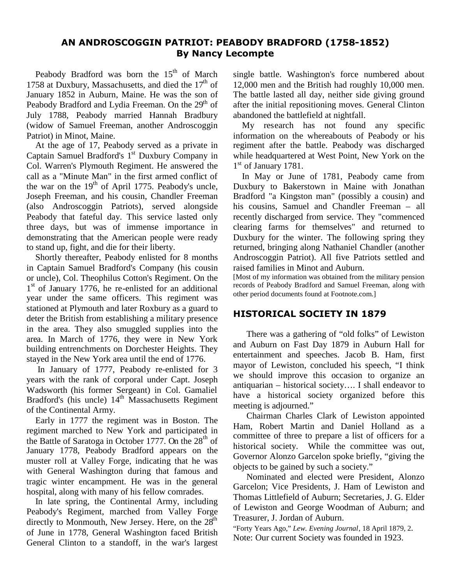# **AN ANDROSCOGGIN PATRIOT: PEABODY BRADFORD (1758-1852) By Nancy Lecompte**

Peabody Bradford was born the  $15<sup>th</sup>$  of March 1758 at Duxbury, Massachusetts, and died the  $17<sup>th</sup>$  of January 1852 in Auburn, Maine. He was the son of Peabody Bradford and Lydia Freeman. On the 29<sup>th</sup> of July 1788, Peabody married Hannah Bradbury (widow of Samuel Freeman, another Androscoggin Patriot) in Minot, Maine.

At the age of 17, Peabody served as a private in Captain Samuel Bradford's 1<sup>st</sup> Duxbury Company in Col. Warren's Plymouth Regiment. He answered the call as a "Minute Man" in the first armed conflict of the war on the  $19<sup>th</sup>$  of April 1775. Peabody's uncle, Joseph Freeman, and his cousin, Chandler Freeman (also Androscoggin Patriots), served alongside Peabody that fateful day. This service lasted only three days, but was of immense importance in demonstrating that the American people were ready to stand up, fight, and die for their liberty.

Shortly thereafter, Peabody enlisted for 8 months in Captain Samuel Bradford's Company (his cousin or uncle), Col. Theophilus Cotton's Regiment. On the 1<sup>st</sup> of January 1776, he re-enlisted for an additional year under the same officers. This regiment was stationed at Plymouth and later Roxbury as a guard to deter the British from establishing a military presence in the area. They also smuggled supplies into the area. In March of 1776, they were in New York building entrenchments on Dorchester Heights. They stayed in the New York area until the end of 1776.

In January of 1777, Peabody re-enlisted for 3 years with the rank of corporal under Capt. Joseph Wadsworth (his former Sergeant) in Col. Gamaliel Bradford's (his uncle) 14<sup>th</sup> Massachusetts Regiment of the Continental Army.

Early in 1777 the regiment was in Boston. The regiment marched to New York and participated in the Battle of Saratoga in October 1777. On the 28<sup>th</sup> of January 1778, Peabody Bradford appears on the muster roll at Valley Forge, indicating that he was with General Washington during that famous and tragic winter encampment. He was in the general hospital, along with many of his fellow comrades.

In late spring, the Continental Army, including Peabody's Regiment, marched from Valley Forge directly to Monmouth, New Jersey. Here, on the  $28<sup>th</sup>$ of June in 1778, General Washington faced British General Clinton to a standoff, in the war's largest

single battle. Washington's force numbered about 12,000 men and the British had roughly 10,000 men. The battle lasted all day, neither side giving ground after the initial repositioning moves. General Clinton abandoned the battlefield at nightfall.

My research has not found any specific information on the whereabouts of Peabody or his regiment after the battle. Peabody was discharged while headquartered at West Point, New York on the 1<sup>st</sup> of January 1781.

In May or June of 1781, Peabody came from Duxbury to Bakerstown in Maine with Jonathan Bradford "a Kingston man" (possibly a cousin) and his cousins, Samuel and Chandler Freeman – all recently discharged from service. They "commenced clearing farms for themselves" and returned to Duxbury for the winter. The following spring they returned, bringing along Nathaniel Chandler (another Androscoggin Patriot). All five Patriots settled and raised families in Minot and Auburn.

[Most of my information was obtained from the military pension records of Peabody Bradford and Samuel Freeman, along with other period documents found at Footnote.com.]

# **HISTORICAL SOCIETY IN 1879**

There was a gathering of "old folks" of Lewiston and Auburn on Fast Day 1879 in Auburn Hall for entertainment and speeches. Jacob B. Ham, first mayor of Lewiston, concluded his speech, "I think we should improve this occasion to organize an antiquarian – historical society…. I shall endeavor to have a historical society organized before this meeting is adjourned."

Chairman Charles Clark of Lewiston appointed Ham, Robert Martin and Daniel Holland as a committee of three to prepare a list of officers for a historical society. While the committee was out, Governor Alonzo Garcelon spoke briefly, "giving the objects to be gained by such a society."

Nominated and elected were President, Alonzo Garcelon; Vice Presidents, J. Ham of Lewiston and Thomas Littlefield of Auburn; Secretaries, J. G. Elder of Lewiston and George Woodman of Auburn; and Treasurer, J. Jordan of Auburn.

"Forty Years Ago," *Lew. Evening Journal*, 18 April 1879, 2. Note: Our current Society was founded in 1923.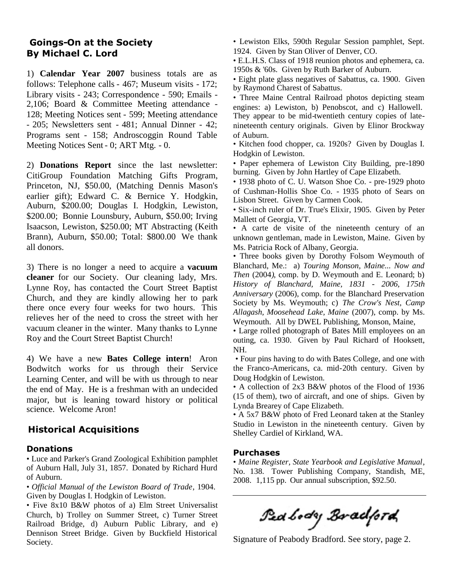# **Goings-On at the Society By Michael C. Lord**

1) **Calendar Year 2007** business totals are as follows: Telephone calls - 467; Museum visits - 172; Library visits - 243; Correspondence - 590; Emails - 2,106; Board & Committee Meeting attendance - 128; Meeting Notices sent - 599; Meeting attendance - 205; Newsletters sent - 481; Annual Dinner - 42; Programs sent - 158; Androscoggin Round Table Meeting Notices Sent - 0; ART Mtg. - 0.

2) **Donations Report** since the last newsletter: CitiGroup Foundation Matching Gifts Program, Princeton, NJ, \$50.00, (Matching Dennis Mason's earlier gift); Edward C. & Bernice Y. Hodgkin, Auburn, \$200.00; Douglas I. Hodgkin, Lewiston, \$200.00; Bonnie Lounsbury, Auburn, \$50.00; Irving Isaacson, Lewiston, \$250.00; MT Abstracting (Keith Brann), Auburn, \$50.00; Total: \$800.00 We thank all donors.

3) There is no longer a need to acquire a **vacuum cleaner** for our Society. Our cleaning lady, Mrs. Lynne Roy, has contacted the Court Street Baptist Church, and they are kindly allowing her to park there once every four weeks for two hours. This relieves her of the need to cross the street with her vacuum cleaner in the winter. Many thanks to Lynne Roy and the Court Street Baptist Church!

4) We have a new **Bates College intern**! Aron Bodwitch works for us through their Service Learning Center, and will be with us through to near the end of May. He is a freshman with an undecided major, but is leaning toward history or political science. Welcome Aron!

# **Historical Acquisitions**

### **Donations**

• Luce and Parker's Grand Zoological Exhibition pamphlet of Auburn Hall, July 31, 1857. Donated by Richard Hurd of Auburn.

• *Official Manual of the Lewiston Board of Trade*, 1904. Given by Douglas I. Hodgkin of Lewiston.

• Five 8x10 B&W photos of a) Elm Street Universalist Church, b) Trolley on Summer Street, c) Turner Street Railroad Bridge, d) Auburn Public Library, and e) Dennison Street Bridge. Given by Buckfield Historical Society.

• Lewiston Elks, 590th Regular Session pamphlet, Sept. 1924. Given by Stan Oliver of Denver, CO.

• E.L.H.S. Class of 1918 reunion photos and ephemera, ca. 1950s & '60s. Given by Ruth Barker of Auburn.

• Eight plate glass negatives of Sabattus, ca. 1900. Given by Raymond Charest of Sabattus.

• Three Maine Central Railroad photos depicting steam engines: a) Lewiston, b) Penobscot, and c) Hallowell. They appear to be mid-twentieth century copies of latenineteenth century originals. Given by Elinor Brockway of Auburn.

• Kitchen food chopper, ca. 1920s? Given by Douglas I. Hodgkin of Lewiston.

• Paper ephemera of Lewiston City Building, pre-1890 burning. Given by John Hartley of Cape Elizabeth.

• 1938 photo of C. U. Watson Shoe Co. - pre-1929 photo of Cushman-Hollis Shoe Co. - 1935 photo of Sears on Lisbon Street. Given by Carmen Cook.

• Six-inch ruler of Dr. True's Elixir, 1905. Given by Peter Mallett of Georgia, VT.

• A carte de visite of the nineteenth century of an unknown gentleman, made in Lewiston, Maine. Given by Ms. Patricia Rock of Albany, Georgia.

• Three books given by Dorothy Folsom Weymouth of Blanchard, Me.: a) *Touring Monson, Maine... Now and Then* (2004*)*, comp. by D. Weymouth and E. Leonard; b) *History of Blanchard, Maine, 1831 - 2006, 175th Anniversary* (2006), comp. for the Blanchard Preservation Society by Ms. Weymouth; c) *The Crow's Nest, Camp Allagash, Moosehead Lake, Maine* (2007), comp. by Ms. Weymouth. All by DWEL Publishing, Monson, Maine,

• Large rolled photograph of Bates Mill employees on an outing, ca. 1930. Given by Paul Richard of Hooksett, NH.

• Four pins having to do with Bates College, and one with the Franco-Americans, ca. mid-20th century. Given by Doug Hodgkin of Lewiston.

• A collection of 2x3 B&W photos of the Flood of 1936 (15 of them), two of aircraft, and one of ships. Given by Lynda Brearey of Cape Elizabeth.

• A 5x7 B&W photo of Fred Leonard taken at the Stanley Studio in Lewiston in the nineteenth century. Given by Shelley Cardiel of Kirkland, WA.

### **Purchases**

• *Maine Register, State Yearbook and Legislative Manual*, No. 138. Tower Publishing Company, Standish, ME, 2008. 1,115 pp. Our annual subscription, \$92.50.

Ped body Bradford

Signature of Peabody Bradford. See story, page 2.